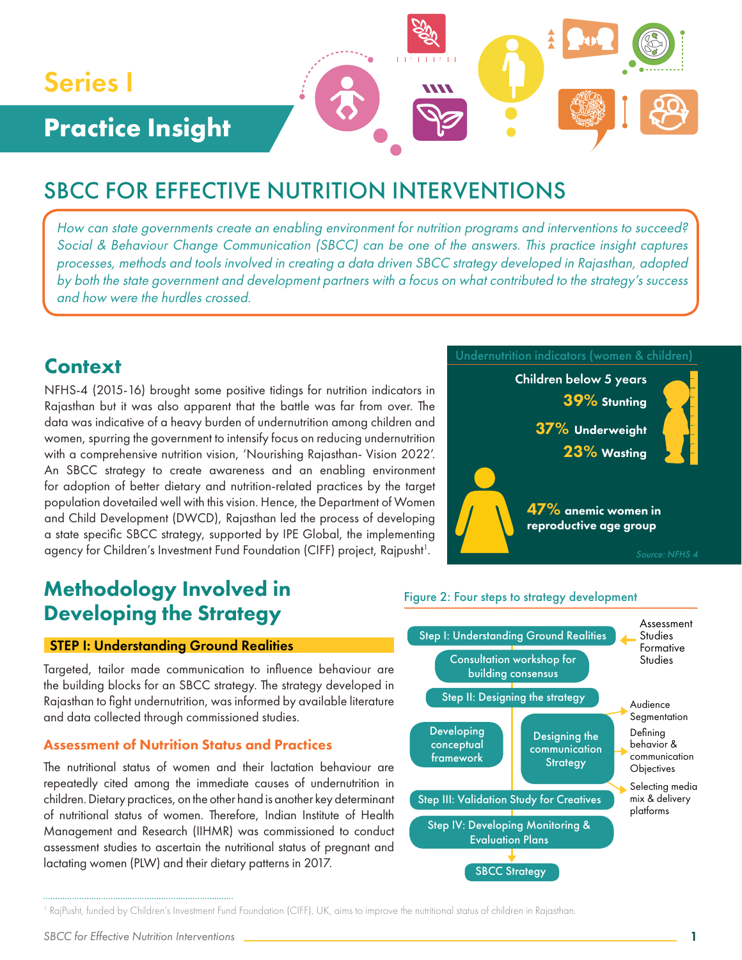# Series I

# **Practice Insight**

# SBCC FOR EFFECTIVE NUTRITION INTERVENTIONS

How can state governments create an enabling environment for nutrition programs and interventions to succeed? Social & Behaviour Change Communication (SBCC) can be one of the answers. This practice insight captures processes, methods and tools involved in creating a data driven SBCC strategy developed in Rajasthan, adopted by both the state government and development partners with a focus on what contributed to the strategy's success and how were the hurdles crossed.

1111111

**7777** 

# **Context**

NFHS-4 (2015-16) brought some positive tidings for nutrition indicators in Rajasthan but it was also apparent that the battle was far from over. The data was indicative of a heavy burden of undernutrition among children and women, spurring the government to intensify focus on reducing undernutrition with a comprehensive nutrition vision, 'Nourishing Rajasthan- Vision 2022'. An SBCC strategy to create awareness and an enabling environment for adoption of better dietary and nutrition-related practices by the target population dovetailed well with this vision. Hence, the Department of Women and Child Development (DWCD), Rajasthan led the process of developing a state specific SBCC strategy, supported by IPE Global, the implementing agency for Children's Investment Fund Foundation (CIFF) project, Rajpusht<sup>1</sup>.

# Methodology Involved in Developing the Strategy

### **STEP I: Understanding Ground Realities**

Targeted, tailor made communication to influence behaviour are the building blocks for an SBCC strategy. The strategy developed in Rajasthan to fight undernutrition, was informed by available literature and data collected through commissioned studies.

### Assessment of Nutrition Status and Practices

The nutritional status of women and their lactation behaviour are repeatedly cited among the immediate causes of undernutrition in children. Dietary practices, on the other hand is another key determinant of nutritional status of women. Therefore, Indian Institute of Health Management and Research (IIHMR) was commissioned to conduct assessment studies to ascertain the nutritional status of pregnant and lactating women (PLW) and their dietary patterns in 2017.



<sup>1</sup> RajPusht, funded by Children's Investment Fund Foundation (CIFF), UK, aims to improve the nutritional status of children in Rajasthan.

*SBCC for Effective Nutrition Interventions* 1

#### Undernutrition indicators (women & children)

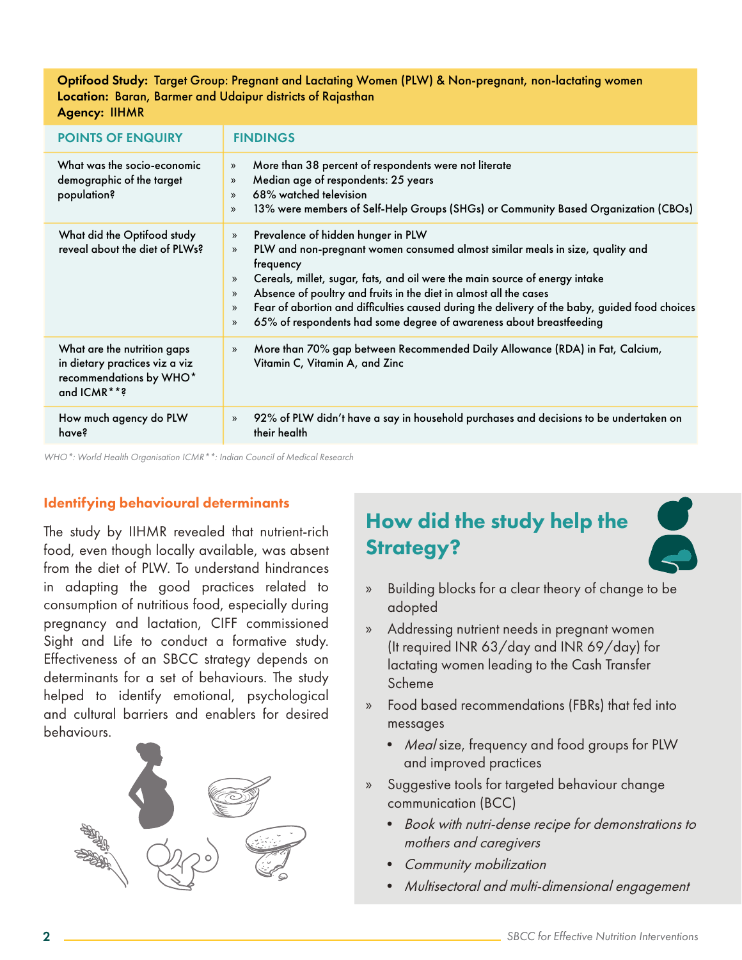### Optifood Study: Target Group: Pregnant and Lactating Women (PLW) & Non-pregnant, non-lactating women Location: Baran, Barmer and Udaipur districts of Rajasthan Agency: IIHMR

| <b>POINTS OF ENQUIRY</b>                                                                                | <b>FINDINGS</b>                                                                                                                                                                                                                                                                                                                                                                                                                                                                                                                                                     |  |
|---------------------------------------------------------------------------------------------------------|---------------------------------------------------------------------------------------------------------------------------------------------------------------------------------------------------------------------------------------------------------------------------------------------------------------------------------------------------------------------------------------------------------------------------------------------------------------------------------------------------------------------------------------------------------------------|--|
| What was the socio-economic<br>demographic of the target<br>population?                                 | More than 38 percent of respondents were not literate<br>$\rangle\!\rangle$<br>Median age of respondents: 25 years<br>$\rangle$<br>68% watched television<br>$\mathcal{Y}$<br>13% were members of Self-Help Groups (SHGs) or Community Based Organization (CBOs)<br>$\rightarrow$                                                                                                                                                                                                                                                                                   |  |
| What did the Optifood study<br>reveal about the diet of PLWs?                                           | Prevalence of hidden hunger in PLW<br>$\rangle\!\rangle$<br>PLW and non-pregnant women consumed almost similar meals in size, quality and<br>$\rangle$<br>frequency<br>Cereals, millet, sugar, fats, and oil were the main source of energy intake<br>$\rightarrow$<br>Absence of poultry and fruits in the diet in almost all the cases<br>$\mathcal{V}$<br>Fear of abortion and difficulties caused during the delivery of the baby, guided food choices<br>$\mathcal{V}$<br>65% of respondents had some degree of awareness about breastfeeding<br>$\mathcal{V}$ |  |
| What are the nutrition gaps<br>in dietary practices viz a viz<br>recommendations by WHO*<br>and ICMR**? | More than 70% gap between Recommended Daily Allowance (RDA) in Fat, Calcium,<br>$\rightarrow$<br>Vitamin C, Vitamin A, and Zinc                                                                                                                                                                                                                                                                                                                                                                                                                                     |  |
| How much agency do PLW<br>have?                                                                         | 92% of PLW didn't have a say in household purchases and decisions to be undertaken on<br>$\rangle$<br>their health                                                                                                                                                                                                                                                                                                                                                                                                                                                  |  |

WHO<sup>\*</sup>: World Health Organisation ICMR<sup>\*\*</sup>: Indian Council of Medical Research

# Identifying behavioural determinants

The study by IIHMR revealed that nutrient-rich food, even though locally available, was absent from the diet of PLW. To understand hindrances in adapting the good practices related to consumption of nutritious food, especially during pregnancy and lactation, CIFF commissioned Sight and Life to conduct a formative study. Effectiveness of an SBCC strategy depends on determinants for a set of behaviours. The study helped to identify emotional, psychological and cultural barriers and enablers for desired behaviours.



# How did the study help the Strategy?



- » Building blocks for a clear theory of change to be adopted
- » Addressing nutrient needs in pregnant women (It required INR 63/day and INR 69/day) for lactating women leading to the Cash Transfer Scheme
- » Food based recommendations (FBRs) that fed into messages
	- *Meal* size, frequency and food groups for PLW and improved practices
- » Suggestive tools for targeted behaviour change communication (BCC)
	- • Book with nutri-dense recipe for demonstrations to mothers and caregivers
	- • Community mobilization
	- Multisectoral and multi-dimensional engagement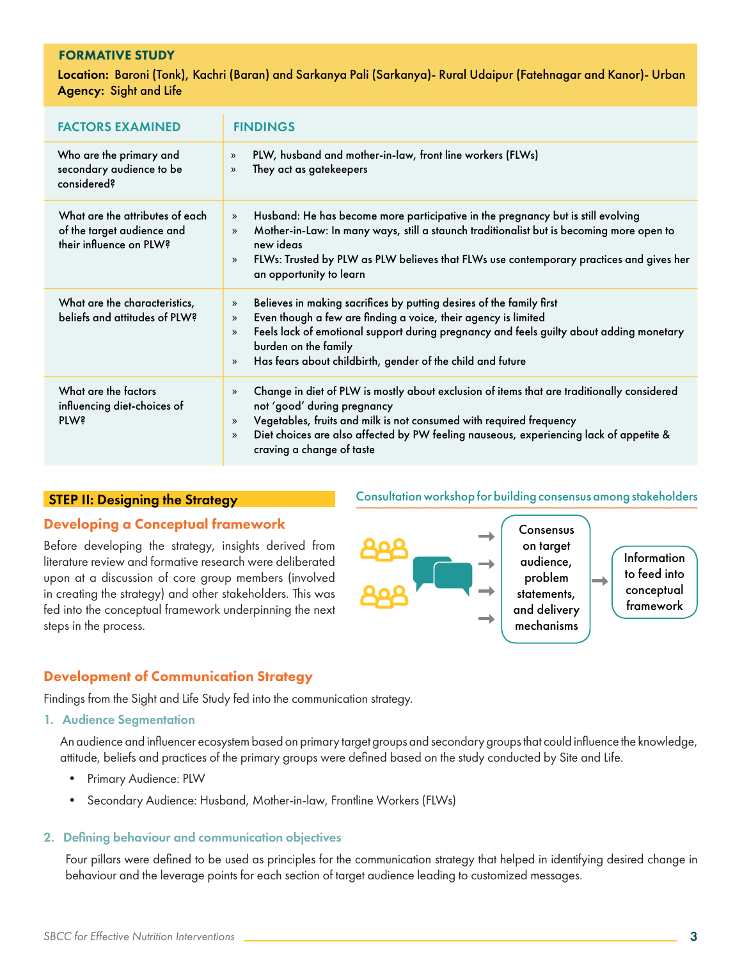### FORMATIVE STUDY

Location: Baroni (Tonk), Kachri (Baran) and Sarkanya Pali (Sarkanya)- Rural Udaipur (Fatehnagar and Kanor)- Urban Agency: Sight and Life

| <b>FACTORS EXAMINED</b>                                                                  | <b>FINDINGS</b>                                                                                                                                                                                                                                                                                                                                                                 |  |
|------------------------------------------------------------------------------------------|---------------------------------------------------------------------------------------------------------------------------------------------------------------------------------------------------------------------------------------------------------------------------------------------------------------------------------------------------------------------------------|--|
| Who are the primary and<br>secondary audience to be<br>considered?                       | PLW, husband and mother-in-law, front line workers (FLWs)<br>$\rangle$<br>They act as gatekeepers<br>$\rangle$                                                                                                                                                                                                                                                                  |  |
| What are the attributes of each<br>of the target audience and<br>their influence on PLW? | Husband: He has become more participative in the pregnancy but is still evolving<br>$\rangle\!\rangle$<br>Mother-in-Law: In many ways, still a staunch traditionalist but is becoming more open to<br>$\mathcal{Y}$<br>new ideas<br>FLWs: Trusted by PLW as PLW believes that FLWs use contemporary practices and gives her<br>$\rangle$<br>an opportunity to learn             |  |
| What are the characteristics,<br>beliefs and attitudes of PLW?                           | Believes in making sacrifices by putting desires of the family first<br>$\rangle$<br>Even though a few are finding a voice, their agency is limited<br>$\rangle$<br>Feels lack of emotional support during pregnancy and feels guilty about adding monetary<br>$\mathcal{Y}$<br>burden on the family<br>Has fears about childbirth, gender of the child and future<br>$\rangle$ |  |
| What are the factors<br>influencing diet-choices of<br><b>PLW?</b>                       | Change in diet of PLW is mostly about exclusion of items that are traditionally considered<br>$\rangle$<br>not 'good' during pregnancy<br>Vegetables, fruits and milk is not consumed with required frequency<br>$\rangle$<br>Diet choices are also affected by PW feeling nauseous, experiencing lack of appetite &<br>$\rangle$<br>craving a change of taste                  |  |

#### STEP II: Designing the Strategy

### Developing a Conceptual framework

Before developing the strategy, insights derived from literature review and formative research were deliberated upon at a discussion of core group members (involved in creating the strategy) and other stakeholders. This was fed into the conceptual framework underpinning the next steps in the process.

# Development of Communication Strategy

Findings from the Sight and Life Study fed into the communication strategy.

1. Audience Segmentation

An audience and influencer ecosystem based on primary target groups and secondary groups that could influence the knowledge, attitude, beliefs and practices of the primary groups were defined based on the study conducted by Site and Life.

- • Primary Audience: PLW
- Secondary Audience: Husband, Mother-in-law, Frontline Workers (FLWs)

#### 2. Defining behaviour and communication objectives

Four pillars were defined to be used as principles for the communication strategy that helped in identifying desired change in behaviour and the leverage points for each section of target audience leading to customized messages.

### Consultation workshop for building consensus among stakeholders

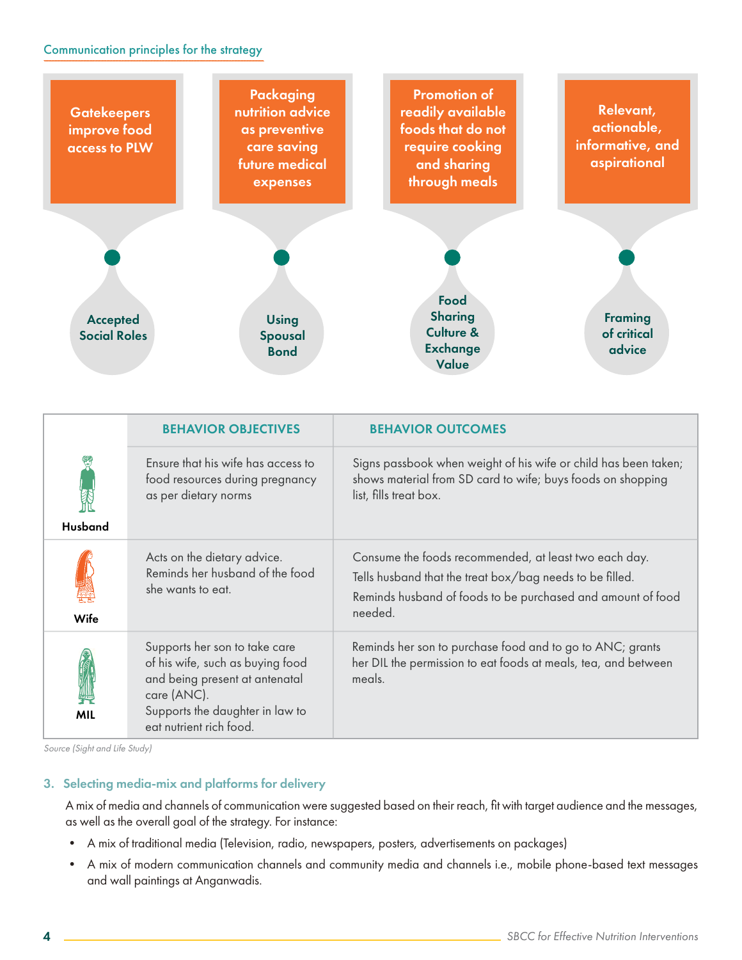### Communication principles for the strategy



|                   | <b>BEHAVIOR OBJECTIVES</b>                                                                                                                                                       | <b>BEHAVIOR OUTCOMES</b>                                                                                                                                                                    |
|-------------------|----------------------------------------------------------------------------------------------------------------------------------------------------------------------------------|---------------------------------------------------------------------------------------------------------------------------------------------------------------------------------------------|
| <b>Husband</b>    | Ensure that his wife has access to<br>food resources during pregnancy<br>as per dietary norms                                                                                    | Signs passbook when weight of his wife or child has been taken;<br>shows material from SD card to wife; buys foods on shopping<br>list, fills treat box.                                    |
| Wife              | Acts on the dietary advice.<br>Reminds her husband of the food<br>she wants to eat.                                                                                              | Consume the foods recommended, at least two each day.<br>Tells husband that the treat box/bag needs to be filled.<br>Reminds husband of foods to be purchased and amount of food<br>needed. |
| <b>All</b><br>MIL | Supports her son to take care<br>of his wife, such as buying food<br>and being present at antenatal<br>care (ANC).<br>Supports the daughter in law to<br>eat nutrient rich food. | Reminds her son to purchase food and to go to ANC; grants<br>her DIL the permission to eat foods at meals, tea, and between<br>meals.                                                       |

Source (Sight and Life Study)

### 3. Selecting media-mix and platforms for delivery

A mix of media and channels of communication were suggested based on their reach, fit with target audience and the messages, as well as the overall goal of the strategy. For instance:

- • A mix of traditional media (Television, radio, newspapers, posters, advertisements on packages)
- • A mix of modern communication channels and community media and channels i.e., mobile phone-based text messages and wall paintings at Anganwadis.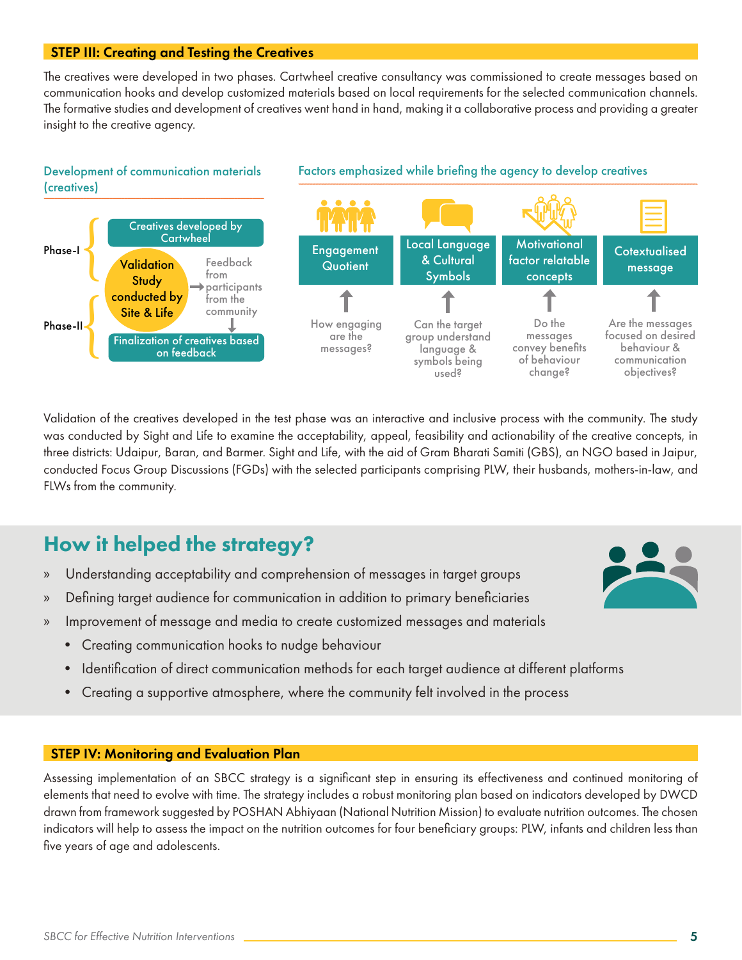### STEP III: Creating and Testing the Creatives

The creatives were developed in two phases. Cartwheel creative consultancy was commissioned to create messages based on communication hooks and develop customized materials based on local requirements for the selected communication channels. The formative studies and development of creatives went hand in hand, making it a collaborative process and providing a greater insight to the creative agency.

Factors emphasized while briefing the agency to develop creatives

### Development of communication materials (creatives)



Validation of the creatives developed in the test phase was an interactive and inclusive process with the community. The study was conducted by Sight and Life to examine the acceptability, appeal, feasibility and actionability of the creative concepts, in three districts: Udaipur, Baran, and Barmer. Sight and Life, with the aid of Gram Bharati Samiti (GBS), an NGO based in Jaipur, conducted Focus Group Discussions (FGDs) with the selected participants comprising PLW, their husbands, mothers-in-law, and FLWs from the community.

# How it helped the strategy?

- » Understanding acceptability and comprehension of messages in target groups
- » Defining target audience for communication in addition to primary beneficiaries
- » Improvement of message and media to create customized messages and materials
	- Creating communication hooks to nudge behaviour
	- Identification of direct communication methods for each target audience at different platforms
	- Creating a supportive atmosphere, where the community felt involved in the process

### STEP IV: Monitoring and Evaluation Plan

Assessing implementation of an SBCC strategy is a significant step in ensuring its effectiveness and continued monitoring of elements that need to evolve with time. The strategy includes a robust monitoring plan based on indicators developed by DWCD drawn from framework suggested by POSHAN Abhiyaan (National Nutrition Mission) to evaluate nutrition outcomes. The chosen indicators will help to assess the impact on the nutrition outcomes for four beneficiary groups: PLW, infants and children less than five years of age and adolescents.

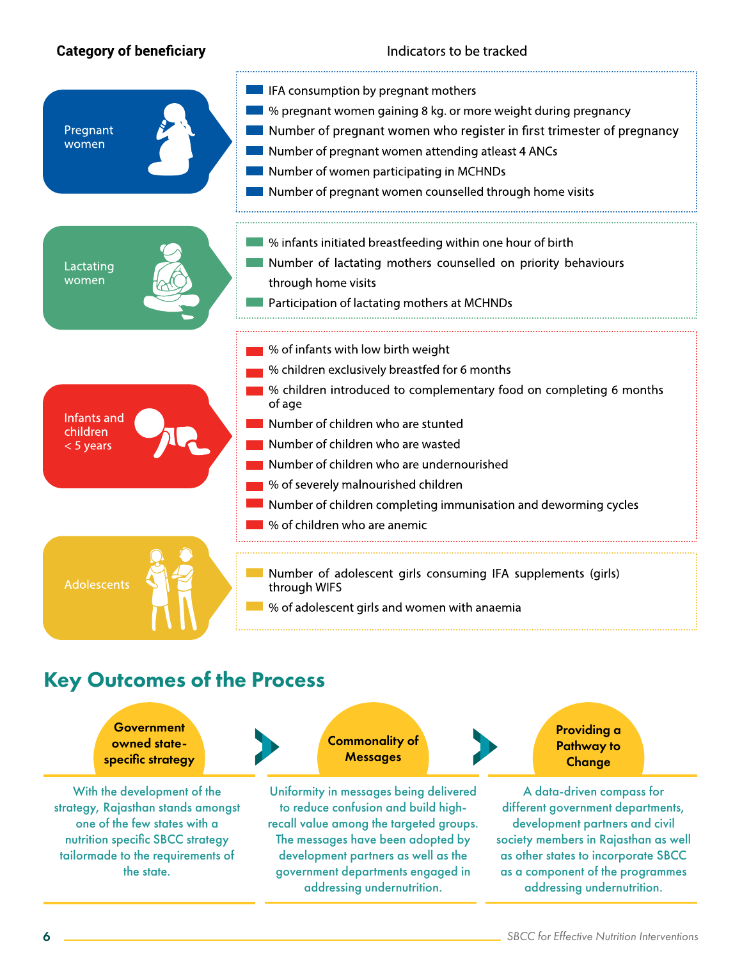# **Category of beneficiary**

### Indicators to be tracked



# Key Outcomes of the Process

**Government** owned statespecific strategy

With the development of the strategy, Rajasthan stands amongst one of the few states with a nutrition specific SBCC strategy tailormade to the requirements of the state.

Commonality of **Messages** 

Uniformity in messages being delivered to reduce confusion and build highrecall value among the targeted groups. The messages have been adopted by development partners as well as the government departments engaged in addressing undernutrition.

Providing a Pathway to **Change** 

A data-driven compass for different government departments, development partners and civil society members in Rajasthan as well as other states to incorporate SBCC as a component of the programmes addressing undernutrition.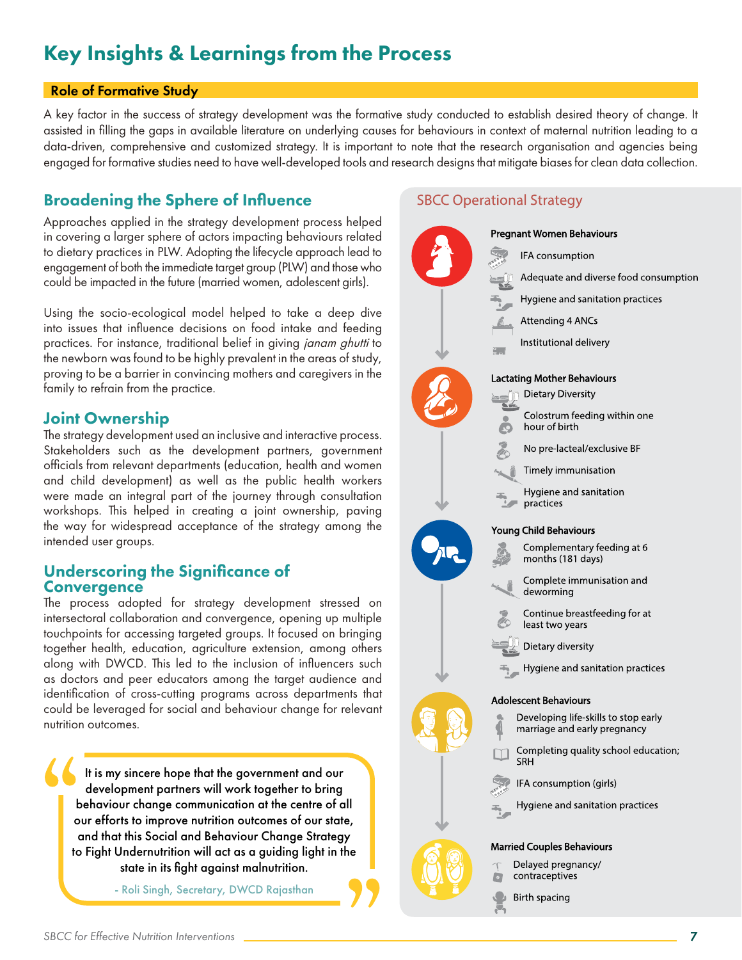# Key Insights & Learnings from the Process

### Role of Formative Study

A key factor in the success of strategy development was the formative study conducted to establish desired theory of change. It assisted in filling the gaps in available literature on underlying causes for behaviours in context of maternal nutrition leading to a data-driven, comprehensive and customized strategy. It is important to note that the research organisation and agencies being engaged for formative studies need to have well-developed tools and research designs that mitigate biases for clean data collection.

# Broadening the Sphere of Influence

Approaches applied in the strategy development process helped in covering a larger sphere of actors impacting behaviours related to dietary practices in PLW. Adopting the lifecycle approach lead to engagement of both the immediate target group (PLW) and those who could be impacted in the future (married women, adolescent girls).

Using the socio-ecological model helped to take a deep dive into issues that influence decisions on food intake and feeding practices. For instance, traditional belief in giving janam ghutti to the newborn was found to be highly prevalent in the areas of study, proving to be a barrier in convincing mothers and caregivers in the family to refrain from the practice.

## Joint Ownership

The strategy development used an inclusive and interactive process. Stakeholders such as the development partners, government officials from relevant departments (education, health and women and child development) as well as the public health workers were made an integral part of the journey through consultation workshops. This helped in creating a joint ownership, paving the way for widespread acceptance of the strategy among the intended user groups.

### Underscoring the Significance of **Convergence**

The process adopted for strategy development stressed on intersectoral collaboration and convergence, opening up multiple touchpoints for accessing targeted groups. It focused on bringing together health, education, agriculture extension, among others along with DWCD. This led to the inclusion of influencers such as doctors and peer educators among the target audience and identification of cross-cutting programs across departments that could be leveraged for social and behaviour change for relevant nutrition outcomes.

It is my sincere hope that the government and our development partners will work together to bring behaviour change communication at the centre of all our efforts to improve nutrition outcomes of our state, and that this Social and Behaviour Change Strategy to Fight Undernutrition will act as a guiding light in the state in its fight against malnutrition.

- Roli Singh, Secretary, DWCD Rajasthan

### **SBCC Operational Strategy**



#### **Pregnant Women Behaviours**

- IFA consumption
- Adequate and diverse food consumption
- Hygiene and sanitation practices
- **Attending 4 ANCs**
- Institutional delivery

#### **Lactating Mother Behaviours**



- Colostrum feeding within one hour of birth
- No pre-lacteal/exclusive BF
- Timely immunisation
- Hygiene and sanitation practices

#### **Young Child Behaviours**



- Complete immunisation and deworming
- Continue breastfeeding for at least two years
- Dietary diversity
- Hygiene and sanitation practices

#### **Adolescent Behaviours**

- Developing life-skills to stop early marriage and early pregnancy
- Completing quality school education; SRH



- IFA consumption (girls)
- Hygiene and sanitation practices

#### **Married Couples Behaviours**

- Delayed pregnancy/ contraceptives **I** 
	- Birth spacing